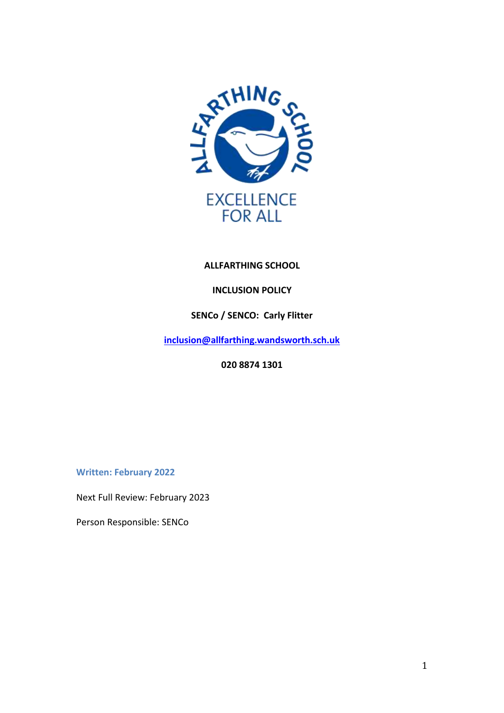

# **ALLFARTHING SCHOOL**

# **INCLUSION POLICY**

# **SENCo / SENCO: Carly Flitter**

**[inclusion@allfarthing.wandsworth.sch.uk](mailto:inclusion@allfarthing.wandsworth.sch.uk)**

**020 8874 1301**

**Written: February 2022**

Next Full Review: February 2023

Person Responsible: SENCo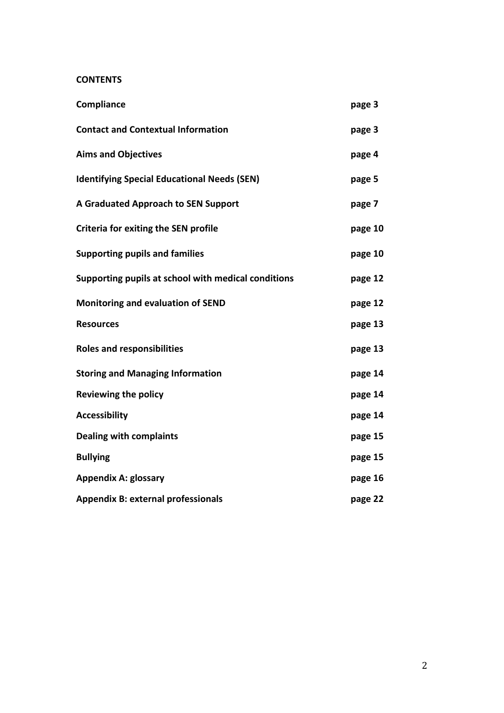# **CONTENTS**

| Compliance                                          | page 3  |
|-----------------------------------------------------|---------|
| <b>Contact and Contextual Information</b>           | page 3  |
| <b>Aims and Objectives</b>                          | page 4  |
| <b>Identifying Special Educational Needs (SEN)</b>  | page 5  |
| <b>A Graduated Approach to SEN Support</b>          | page 7  |
| <b>Criteria for exiting the SEN profile</b>         | page 10 |
| <b>Supporting pupils and families</b>               | page 10 |
| Supporting pupils at school with medical conditions | page 12 |
| <b>Monitoring and evaluation of SEND</b>            | page 12 |
| <b>Resources</b>                                    | page 13 |
| <b>Roles and responsibilities</b>                   | page 13 |
| <b>Storing and Managing Information</b>             | page 14 |
| <b>Reviewing the policy</b>                         | page 14 |
| <b>Accessibility</b>                                | page 14 |
| <b>Dealing with complaints</b>                      | page 15 |
| <b>Bullying</b>                                     | page 15 |
| <b>Appendix A: glossary</b>                         | page 16 |
| <b>Appendix B: external professionals</b>           | page 22 |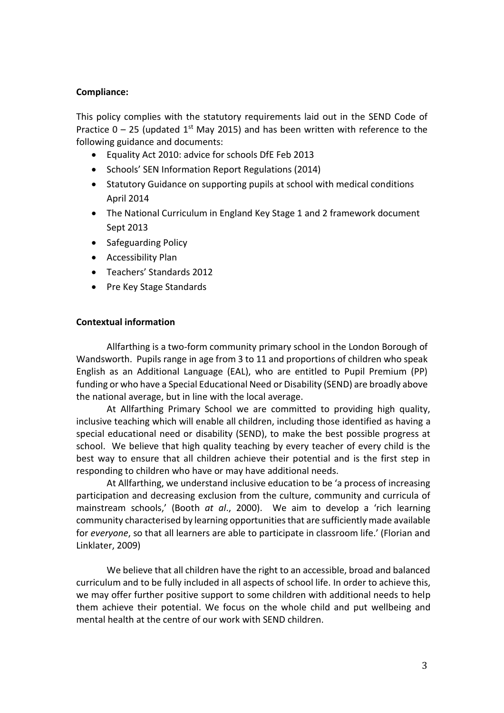#### **Compliance:**

This policy complies with the statutory requirements laid out in the SEND Code of Practice  $0 - 25$  (updated 1<sup>st</sup> May 2015) and has been written with reference to the following guidance and documents:

- Equality Act 2010: advice for schools DfE Feb 2013
- Schools' SEN Information Report Regulations (2014)
- Statutory Guidance on supporting pupils at school with medical conditions April 2014
- The National Curriculum in England Key Stage 1 and 2 framework document Sept 2013
- Safeguarding Policy
- Accessibility Plan
- Teachers' Standards 2012
- Pre Key Stage Standards

#### **Contextual information**

Allfarthing is a two-form community primary school in the London Borough of Wandsworth. Pupils range in age from 3 to 11 and proportions of children who speak English as an Additional Language (EAL), who are entitled to Pupil Premium (PP) funding or who have a Special Educational Need or Disability (SEND) are broadly above the national average, but in line with the local average.

At Allfarthing Primary School we are committed to providing high quality, inclusive teaching which will enable all children, including those identified as having a special educational need or disability (SEND), to make the best possible progress at school. We believe that high quality teaching by every teacher of every child is the best way to ensure that all children achieve their potential and is the first step in responding to children who have or may have additional needs.

At Allfarthing, we understand inclusive education to be 'a process of increasing participation and decreasing exclusion from the culture, community and curricula of mainstream schools,' (Booth *at al*., 2000). We aim to develop a 'rich learning community characterised by learning opportunities that are sufficiently made available for *everyone*, so that all learners are able to participate in classroom life.' (Florian and Linklater, 2009)

We believe that all children have the right to an accessible, broad and balanced curriculum and to be fully included in all aspects of school life. In order to achieve this, we may offer further positive support to some children with additional needs to help them achieve their potential. We focus on the whole child and put wellbeing and mental health at the centre of our work with SEND children.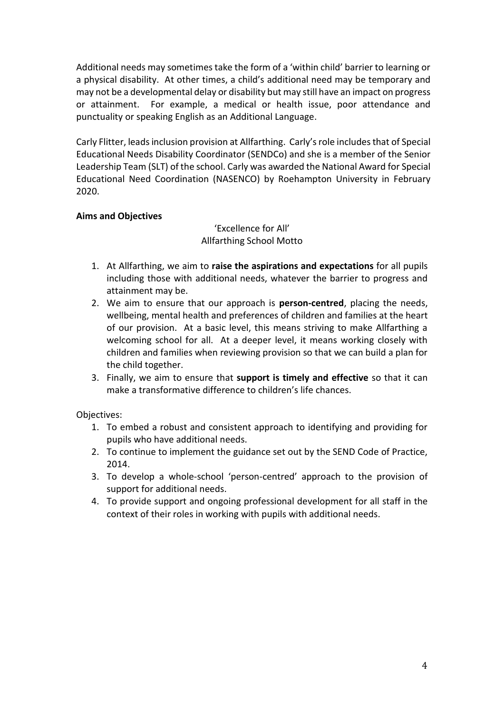Additional needs may sometimes take the form of a 'within child' barrier to learning or a physical disability. At other times, a child's additional need may be temporary and may not be a developmental delay or disability but may still have an impact on progress or attainment. For example, a medical or health issue, poor attendance and punctuality or speaking English as an Additional Language.

Carly Flitter, leads inclusion provision at Allfarthing. Carly'srole includes that of Special Educational Needs Disability Coordinator (SENDCo) and she is a member of the Senior Leadership Team (SLT) of the school. Carly was awarded the National Award for Special Educational Need Coordination (NASENCO) by Roehampton University in February 2020.

# **Aims and Objectives**

'Excellence for All' Allfarthing School Motto

- 1. At Allfarthing, we aim to **raise the aspirations and expectations** for all pupils including those with additional needs, whatever the barrier to progress and attainment may be.
- 2. We aim to ensure that our approach is **person-centred**, placing the needs, wellbeing, mental health and preferences of children and families at the heart of our provision. At a basic level, this means striving to make Allfarthing a welcoming school for all. At a deeper level, it means working closely with children and families when reviewing provision so that we can build a plan for the child together.
- 3. Finally, we aim to ensure that **support is timely and effective** so that it can make a transformative difference to children's life chances.

Objectives:

- 1. To embed a robust and consistent approach to identifying and providing for pupils who have additional needs.
- 2. To continue to implement the guidance set out by the SEND Code of Practice, 2014.
- 3. To develop a whole-school 'person-centred' approach to the provision of support for additional needs.
- 4. To provide support and ongoing professional development for all staff in the context of their roles in working with pupils with additional needs.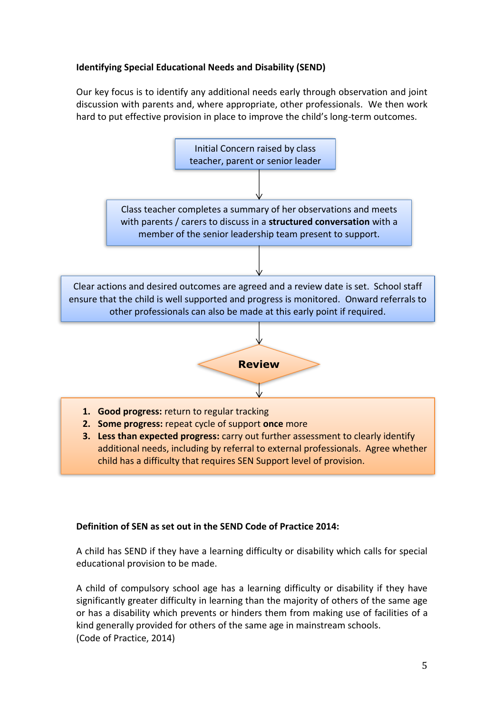# **Identifying Special Educational Needs and Disability (SEND)**

Our key focus is to identify any additional needs early through observation and joint discussion with parents and, where appropriate, other professionals. We then work hard to put effective provision in place to improve the child's long-term outcomes.



# **Definition of SEN as set out in the SEND Code of Practice 2014:**

A child has SEND if they have a learning difficulty or disability which calls for special educational provision to be made.

A child of compulsory school age has a learning difficulty or disability if they have significantly greater difficulty in learning than the majority of others of the same age or has a disability which prevents or hinders them from making use of facilities of a kind generally provided for others of the same age in mainstream schools. (Code of Practice, 2014)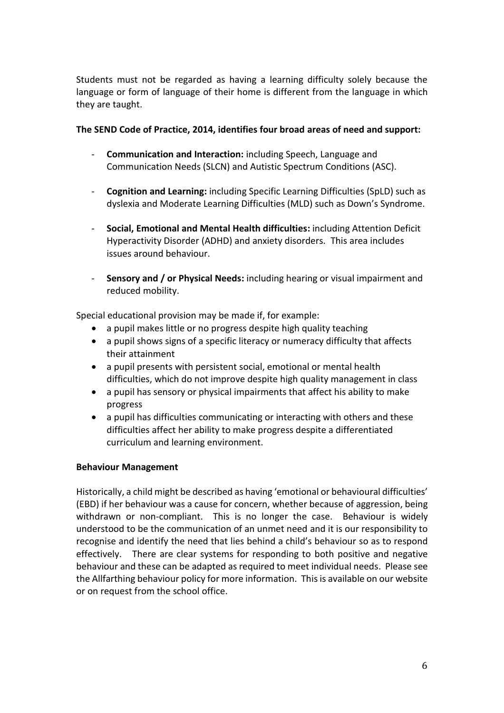Students must not be regarded as having a learning difficulty solely because the language or form of language of their home is different from the language in which they are taught.

### **The SEND Code of Practice, 2014, identifies four broad areas of need and support:**

- **Communication and Interaction:** including Speech, Language and Communication Needs (SLCN) and Autistic Spectrum Conditions (ASC).
- **Cognition and Learning:** including Specific Learning Difficulties (SpLD) such as dyslexia and Moderate Learning Difficulties (MLD) such as Down's Syndrome.
- **Social, Emotional and Mental Health difficulties:** including Attention Deficit Hyperactivity Disorder (ADHD) and anxiety disorders. This area includes issues around behaviour.
- **Sensory and / or Physical Needs:** including hearing or visual impairment and reduced mobility.

Special educational provision may be made if, for example:

- a pupil makes little or no progress despite high quality teaching
- a pupil shows signs of a specific literacy or numeracy difficulty that affects their attainment
- a pupil presents with persistent social, emotional or mental health difficulties, which do not improve despite high quality management in class
- a pupil has sensory or physical impairments that affect his ability to make progress
- a pupil has difficulties communicating or interacting with others and these difficulties affect her ability to make progress despite a differentiated curriculum and learning environment.

# **Behaviour Management**

Historically, a child might be described as having 'emotional or behavioural difficulties' (EBD) if her behaviour was a cause for concern, whether because of aggression, being withdrawn or non-compliant. This is no longer the case. Behaviour is widely understood to be the communication of an unmet need and it is our responsibility to recognise and identify the need that lies behind a child's behaviour so as to respond effectively. There are clear systems for responding to both positive and negative behaviour and these can be adapted as required to meet individual needs. Please see the Allfarthing behaviour policy for more information. This is available on our website or on request from the school office.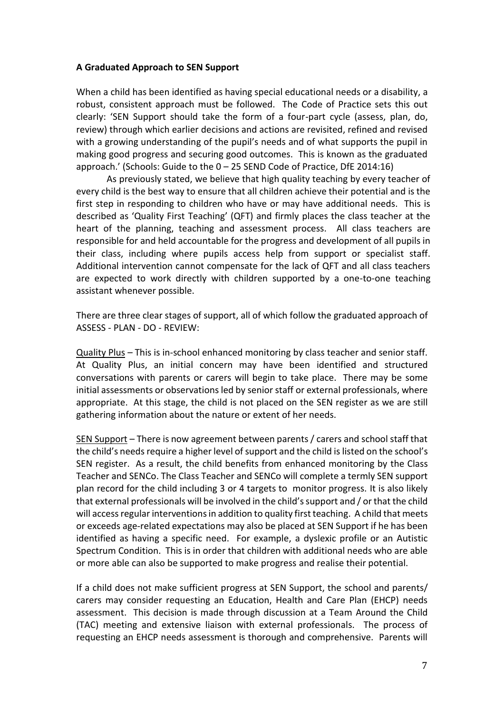#### **A Graduated Approach to SEN Support**

When a child has been identified as having special educational needs or a disability, a robust, consistent approach must be followed. The Code of Practice sets this out clearly: 'SEN Support should take the form of a four-part cycle (assess, plan, do, review) through which earlier decisions and actions are revisited, refined and revised with a growing understanding of the pupil's needs and of what supports the pupil in making good progress and securing good outcomes. This is known as the graduated approach.' (Schools: Guide to the 0 – 25 SEND Code of Practice, DfE 2014:16)

As previously stated, we believe that high quality teaching by every teacher of every child is the best way to ensure that all children achieve their potential and is the first step in responding to children who have or may have additional needs. This is described as 'Quality First Teaching' (QFT) and firmly places the class teacher at the heart of the planning, teaching and assessment process. All class teachers are responsible for and held accountable for the progress and development of all pupils in their class, including where pupils access help from support or specialist staff. Additional intervention cannot compensate for the lack of QFT and all class teachers are expected to work directly with children supported by a one-to-one teaching assistant whenever possible.

There are three clear stages of support, all of which follow the graduated approach of ASSESS - PLAN - DO - REVIEW:

Quality Plus – This is in-school enhanced monitoring by class teacher and senior staff. At Quality Plus, an initial concern may have been identified and structured conversations with parents or carers will begin to take place. There may be some initial assessments or observations led by senior staff or external professionals, where appropriate. At this stage, the child is not placed on the SEN register as we are still gathering information about the nature or extent of her needs.

SEN Support – There is now agreement between parents / carers and school staff that the child's needs require a higher level of support and the child is listed on the school's SEN register. As a result, the child benefits from enhanced monitoring by the Class Teacher and SENCo. The Class Teacher and SENCo will complete a termly SEN support plan record for the child including 3 or 4 targets to monitor progress. It is also likely that external professionals will be involved in the child's support and / or that the child will access regular interventions in addition to quality first teaching. A child that meets or exceeds age-related expectations may also be placed at SEN Support if he has been identified as having a specific need. For example, a dyslexic profile or an Autistic Spectrum Condition. This is in order that children with additional needs who are able or more able can also be supported to make progress and realise their potential.

If a child does not make sufficient progress at SEN Support, the school and parents/ carers may consider requesting an Education, Health and Care Plan (EHCP) needs assessment. This decision is made through discussion at a Team Around the Child (TAC) meeting and extensive liaison with external professionals. The process of requesting an EHCP needs assessment is thorough and comprehensive. Parents will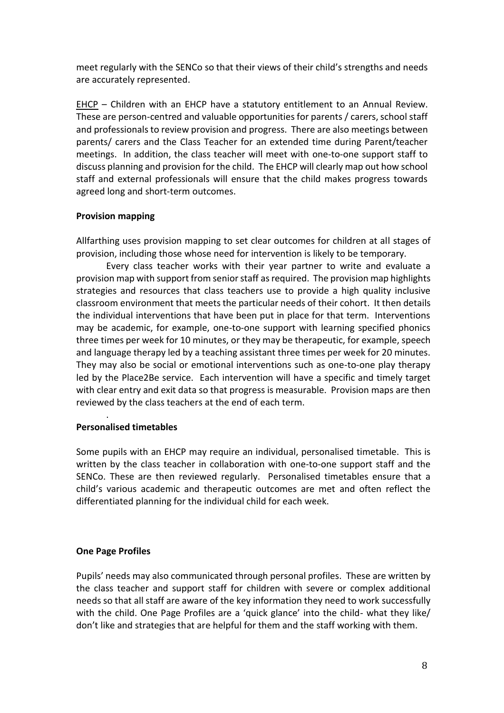meet regularly with the SENCo so that their views of their child's strengths and needs are accurately represented.

EHCP – Children with an EHCP have a statutory entitlement to an Annual Review. These are person-centred and valuable opportunities for parents / carers, school staff and professionals to review provision and progress. There are also meetings between parents/ carers and the Class Teacher for an extended time during Parent/teacher meetings. In addition, the class teacher will meet with one-to-one support staff to discuss planning and provision for the child. The EHCP will clearly map out how school staff and external professionals will ensure that the child makes progress towards agreed long and short-term outcomes.

#### **Provision mapping**

Allfarthing uses provision mapping to set clear outcomes for children at all stages of provision, including those whose need for intervention is likely to be temporary.

Every class teacher works with their year partner to write and evaluate a provision map with support from senior staff as required. The provision map highlights strategies and resources that class teachers use to provide a high quality inclusive classroom environment that meets the particular needs of their cohort. It then details the individual interventions that have been put in place for that term. Interventions may be academic, for example, one-to-one support with learning specified phonics three times per week for 10 minutes, or they may be therapeutic, for example, speech and language therapy led by a teaching assistant three times per week for 20 minutes. They may also be social or emotional interventions such as one-to-one play therapy led by the Place2Be service. Each intervention will have a specific and timely target with clear entry and exit data so that progress is measurable. Provision maps are then reviewed by the class teachers at the end of each term.

# **Personalised timetables**

.

Some pupils with an EHCP may require an individual, personalised timetable. This is written by the class teacher in collaboration with one-to-one support staff and the SENCo. These are then reviewed regularly. Personalised timetables ensure that a child's various academic and therapeutic outcomes are met and often reflect the differentiated planning for the individual child for each week.

# **One Page Profiles**

Pupils' needs may also communicated through personal profiles. These are written by the class teacher and support staff for children with severe or complex additional needs so that all staff are aware of the key information they need to work successfully with the child. One Page Profiles are a 'quick glance' into the child- what they like/ don't like and strategies that are helpful for them and the staff working with them.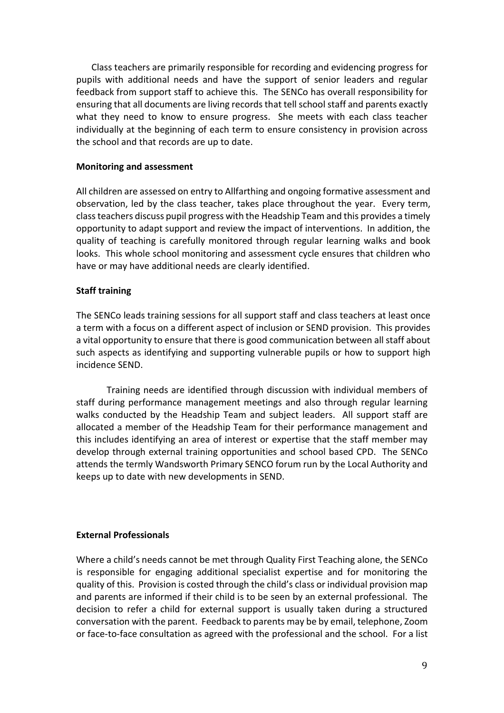Class teachers are primarily responsible for recording and evidencing progress for pupils with additional needs and have the support of senior leaders and regular feedback from support staff to achieve this. The SENCo has overall responsibility for ensuring that all documents are living records that tell school staff and parents exactly what they need to know to ensure progress. She meets with each class teacher individually at the beginning of each term to ensure consistency in provision across the school and that records are up to date.

#### **Monitoring and assessment**

All children are assessed on entry to Allfarthing and ongoing formative assessment and observation, led by the class teacher, takes place throughout the year. Every term, class teachers discuss pupil progress with the Headship Team and this provides a timely opportunity to adapt support and review the impact of interventions. In addition, the quality of teaching is carefully monitored through regular learning walks and book looks. This whole school monitoring and assessment cycle ensures that children who have or may have additional needs are clearly identified.

#### **Staff training**

The SENCo leads training sessions for all support staff and class teachers at least once a term with a focus on a different aspect of inclusion or SEND provision. This provides a vital opportunity to ensure that there is good communication between all staff about such aspects as identifying and supporting vulnerable pupils or how to support high incidence SEND.

Training needs are identified through discussion with individual members of staff during performance management meetings and also through regular learning walks conducted by the Headship Team and subject leaders. All support staff are allocated a member of the Headship Team for their performance management and this includes identifying an area of interest or expertise that the staff member may develop through external training opportunities and school based CPD. The SENCo attends the termly Wandsworth Primary SENCO forum run by the Local Authority and keeps up to date with new developments in SEND.

#### **External Professionals**

Where a child's needs cannot be met through Quality First Teaching alone, the SENCo is responsible for engaging additional specialist expertise and for monitoring the quality of this. Provision is costed through the child's class or individual provision map and parents are informed if their child is to be seen by an external professional. The decision to refer a child for external support is usually taken during a structured conversation with the parent. Feedback to parents may be by email, telephone, Zoom or face-to-face consultation as agreed with the professional and the school. For a list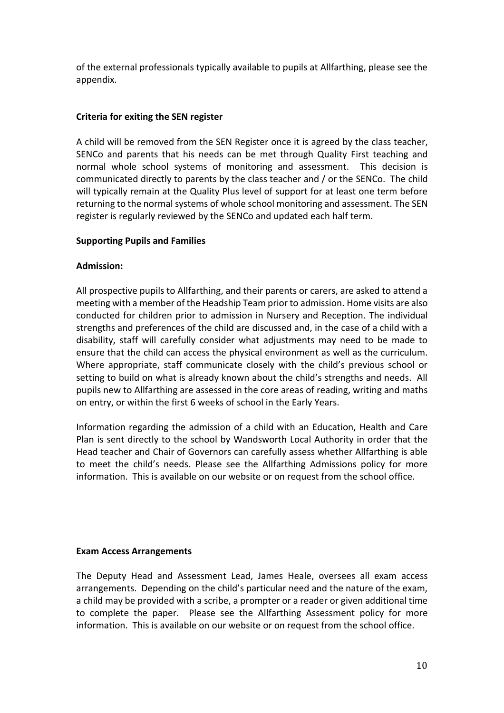of the external professionals typically available to pupils at Allfarthing, please see the appendix.

# **Criteria for exiting the SEN register**

A child will be removed from the SEN Register once it is agreed by the class teacher, SENCo and parents that his needs can be met through Quality First teaching and normal whole school systems of monitoring and assessment. This decision is communicated directly to parents by the class teacher and / or the SENCo. The child will typically remain at the Quality Plus level of support for at least one term before returning to the normal systems of whole school monitoring and assessment. The SEN register is regularly reviewed by the SENCo and updated each half term.

#### **Supporting Pupils and Families**

#### **Admission:**

All prospective pupils to Allfarthing, and their parents or carers, are asked to attend a meeting with a member of the Headship Team prior to admission. Home visits are also conducted for children prior to admission in Nursery and Reception. The individual strengths and preferences of the child are discussed and, in the case of a child with a disability, staff will carefully consider what adjustments may need to be made to ensure that the child can access the physical environment as well as the curriculum. Where appropriate, staff communicate closely with the child's previous school or setting to build on what is already known about the child's strengths and needs. All pupils new to Allfarthing are assessed in the core areas of reading, writing and maths on entry, or within the first 6 weeks of school in the Early Years.

Information regarding the admission of a child with an Education, Health and Care Plan is sent directly to the school by Wandsworth Local Authority in order that the Head teacher and Chair of Governors can carefully assess whether Allfarthing is able to meet the child's needs. Please see the Allfarthing Admissions policy for more information. This is available on our website or on request from the school office.

#### **Exam Access Arrangements**

The Deputy Head and Assessment Lead, James Heale, oversees all exam access arrangements. Depending on the child's particular need and the nature of the exam, a child may be provided with a scribe, a prompter or a reader or given additional time to complete the paper. Please see the Allfarthing Assessment policy for more information. This is available on our website or on request from the school office.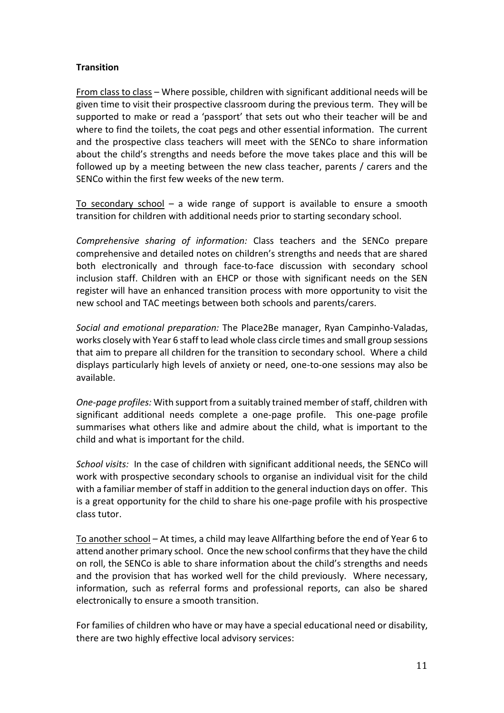# **Transition**

From class to class – Where possible, children with significant additional needs will be given time to visit their prospective classroom during the previous term. They will be supported to make or read a 'passport' that sets out who their teacher will be and where to find the toilets, the coat pegs and other essential information. The current and the prospective class teachers will meet with the SENCo to share information about the child's strengths and needs before the move takes place and this will be followed up by a meeting between the new class teacher, parents / carers and the SENCo within the first few weeks of the new term.

To secondary school  $-$  a wide range of support is available to ensure a smooth transition for children with additional needs prior to starting secondary school.

*Comprehensive sharing of information:* Class teachers and the SENCo prepare comprehensive and detailed notes on children's strengths and needs that are shared both electronically and through face-to-face discussion with secondary school inclusion staff. Children with an EHCP or those with significant needs on the SEN register will have an enhanced transition process with more opportunity to visit the new school and TAC meetings between both schools and parents/carers.

*Social and emotional preparation:* The Place2Be manager, Ryan Campinho-Valadas, works closely with Year 6 staff to lead whole class circle times and small group sessions that aim to prepare all children for the transition to secondary school. Where a child displays particularly high levels of anxiety or need, one-to-one sessions may also be available.

*One-page profiles:* With support from a suitably trained member of staff, children with significant additional needs complete a one-page profile. This one-page profile summarises what others like and admire about the child, what is important to the child and what is important for the child.

*School visits:* In the case of children with significant additional needs, the SENCo will work with prospective secondary schools to organise an individual visit for the child with a familiar member of staff in addition to the general induction days on offer. This is a great opportunity for the child to share his one-page profile with his prospective class tutor.

To another school – At times, a child may leave Allfarthing before the end of Year 6 to attend another primary school. Once the new school confirms that they have the child on roll, the SENCo is able to share information about the child's strengths and needs and the provision that has worked well for the child previously. Where necessary, information, such as referral forms and professional reports, can also be shared electronically to ensure a smooth transition.

For families of children who have or may have a special educational need or disability, there are two highly effective local advisory services: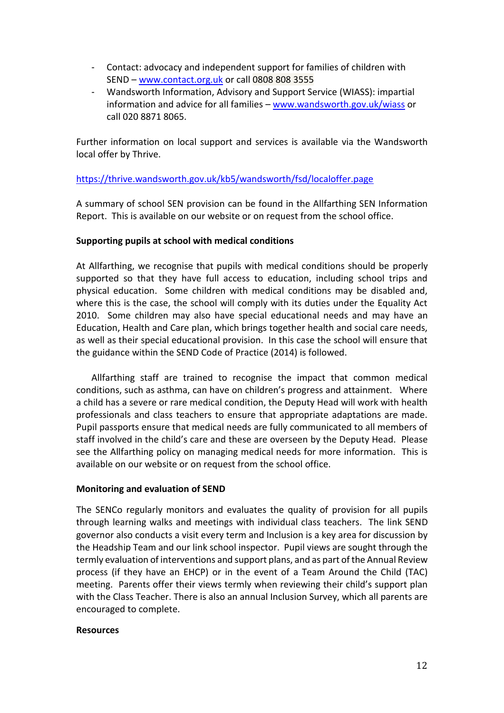- Contact: advocacy and independent support for families of children with SEND – [www.contact.org.uk](http://www.contact.org.uk/) or call 0808 808 3555
- Wandsworth Information, Advisory and Support Service (WIASS): impartial information and advice for all families – [www.wandsworth.gov.uk/wiass](http://www.wandsworth.gov.uk/wiass) or call 020 8871 8065.

Further information on local support and services is available via the Wandsworth local offer by Thrive.

#### <https://thrive.wandsworth.gov.uk/kb5/wandsworth/fsd/localoffer.page>

A summary of school SEN provision can be found in the Allfarthing SEN Information Report. This is available on our website or on request from the school office.

#### **Supporting pupils at school with medical conditions**

At Allfarthing, we recognise that pupils with medical conditions should be properly supported so that they have full access to education, including school trips and physical education. Some children with medical conditions may be disabled and, where this is the case, the school will comply with its duties under the Equality Act 2010. Some children may also have special educational needs and may have an Education, Health and Care plan, which brings together health and social care needs, as well as their special educational provision. In this case the school will ensure that the guidance within the SEND Code of Practice (2014) is followed.

Allfarthing staff are trained to recognise the impact that common medical conditions, such as asthma, can have on children's progress and attainment. Where a child has a severe or rare medical condition, the Deputy Head will work with health professionals and class teachers to ensure that appropriate adaptations are made. Pupil passports ensure that medical needs are fully communicated to all members of staff involved in the child's care and these are overseen by the Deputy Head. Please see the Allfarthing policy on managing medical needs for more information. This is available on our website or on request from the school office.

# **Monitoring and evaluation of SEND**

The SENCo regularly monitors and evaluates the quality of provision for all pupils through learning walks and meetings with individual class teachers. The link SEND governor also conducts a visit every term and Inclusion is a key area for discussion by the Headship Team and our link school inspector. Pupil views are sought through the termly evaluation of interventions and support plans, and as part of the Annual Review process (if they have an EHCP) or in the event of a Team Around the Child (TAC) meeting. Parents offer their views termly when reviewing their child's support plan with the Class Teacher. There is also an annual Inclusion Survey, which all parents are encouraged to complete.

#### **Resources**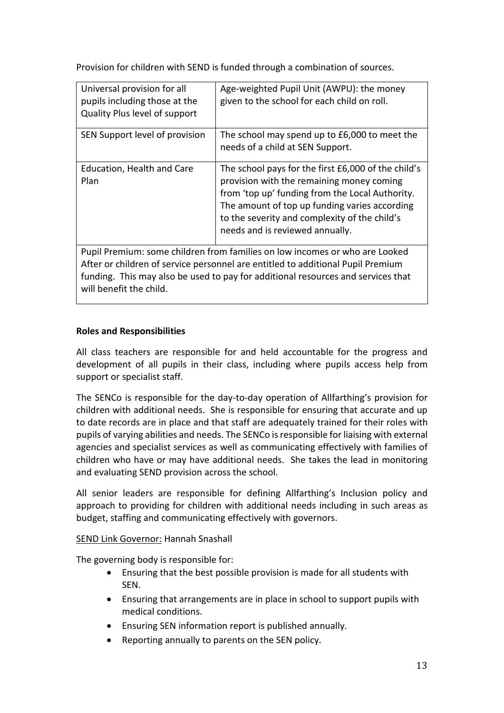Provision for children with SEND is funded through a combination of sources.

| Universal provision for all<br>pupils including those at the<br>Quality Plus level of support | Age-weighted Pupil Unit (AWPU): the money<br>given to the school for each child on roll.                                                                                                                                                                                                 |  |  |
|-----------------------------------------------------------------------------------------------|------------------------------------------------------------------------------------------------------------------------------------------------------------------------------------------------------------------------------------------------------------------------------------------|--|--|
| SEN Support level of provision                                                                | The school may spend up to £6,000 to meet the<br>needs of a child at SEN Support.                                                                                                                                                                                                        |  |  |
| Education, Health and Care<br>Plan                                                            | The school pays for the first £6,000 of the child's<br>provision with the remaining money coming<br>from 'top up' funding from the Local Authority.<br>The amount of top up funding varies according<br>to the severity and complexity of the child's<br>needs and is reviewed annually. |  |  |
| Pupil Premium: some children from families on low incomes or who are Looked                   |                                                                                                                                                                                                                                                                                          |  |  |

After or children of service personnel are entitled to additional Pupil Premium funding. This may also be used to pay for additional resources and services that will benefit the child.

# **Roles and Responsibilities**

All class teachers are responsible for and held accountable for the progress and development of all pupils in their class, including where pupils access help from support or specialist staff.

The SENCo is responsible for the day-to-day operation of Allfarthing's provision for children with additional needs. She is responsible for ensuring that accurate and up to date records are in place and that staff are adequately trained for their roles with pupils of varying abilities and needs. The SENCo is responsible for liaising with external agencies and specialist services as well as communicating effectively with families of children who have or may have additional needs. She takes the lead in monitoring and evaluating SEND provision across the school.

All senior leaders are responsible for defining Allfarthing's Inclusion policy and approach to providing for children with additional needs including in such areas as budget, staffing and communicating effectively with governors.

# SEND Link Governor: Hannah Snashall

The governing body is responsible for:

- Ensuring that the best possible provision is made for all students with SEN.
- Ensuring that arrangements are in place in school to support pupils with medical conditions.
- Ensuring SEN information report is published annually.
- Reporting annually to parents on the SEN policy.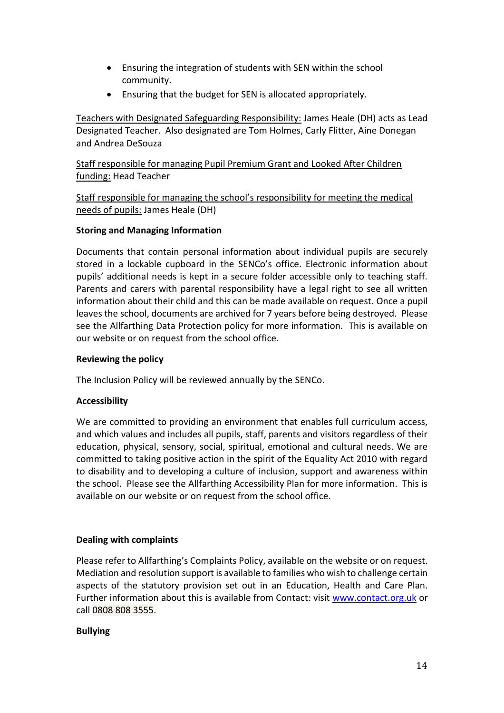- Ensuring the integration of students with SEN within the school community.
- Ensuring that the budget for SEN is allocated appropriately.

Teachers with Designated Safeguarding Responsibility: James Heale (DH) acts as Lead Designated Teacher. Also designated are Tom Holmes, Carly Flitter, Aine Donegan and Andrea DeSouza

Staff responsible for managing Pupil Premium Grant and Looked After Children funding: Head Teacher

Staff responsible for managing the school's responsibility for meeting the medical needs of pupils: James Heale (DH)

# **Storing and Managing Information**

Documents that contain personal information about individual pupils are securely stored in a lockable cupboard in the SENCo's office. Electronic information about pupils' additional needs is kept in a secure folder accessible only to teaching staff. Parents and carers with parental responsibility have a legal right to see all written information about their child and this can be made available on request. Once a pupil leaves the school, documents are archived for 7 years before being destroyed. Please see the Allfarthing Data Protection policy for more information. This is available on our website or on request from the school office.

#### **Reviewing the policy**

The Inclusion Policy will be reviewed annually by the SENCo.

# **Accessibility**

We are committed to providing an environment that enables full curriculum access, and which values and includes all pupils, staff, parents and visitors regardless of their education, physical, sensory, social, spiritual, emotional and cultural needs. We are committed to taking positive action in the spirit of the Equality Act 2010 with regard to disability and to developing a culture of inclusion, support and awareness within the school. Please see the Allfarthing Accessibility Plan for more information. This is available on our website or on request from the school office.

# **Dealing with complaints**

Please refer to Allfarthing's Complaints Policy, available on the website or on request. Mediation and resolution support is available to families who wish to challenge certain aspects of the statutory provision set out in an Education, Health and Care Plan. Further information about this is available from Contact: visit [www.contact.org.uk](http://www.contact.org.uk/) or call 0808 808 3555.

#### **Bullying**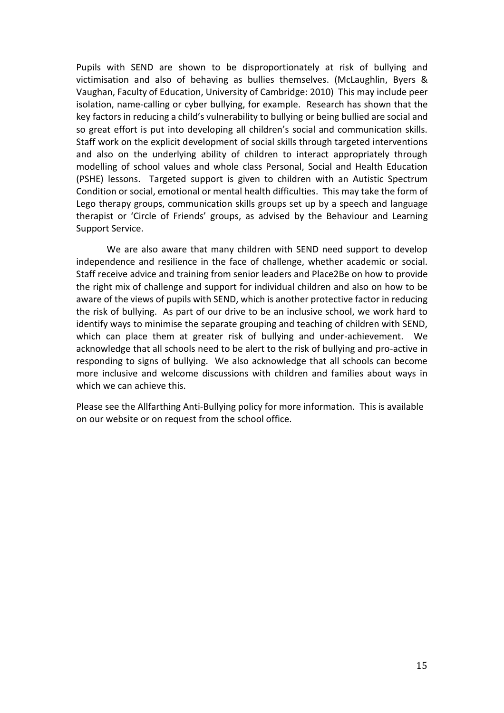Pupils with SEND are shown to be disproportionately at risk of bullying and victimisation and also of behaving as bullies themselves. (McLaughlin, Byers & Vaughan, Faculty of Education, University of Cambridge: 2010) This may include peer isolation, name-calling or cyber bullying, for example. Research has shown that the key factors in reducing a child's vulnerability to bullying or being bullied are social and so great effort is put into developing all children's social and communication skills. Staff work on the explicit development of social skills through targeted interventions and also on the underlying ability of children to interact appropriately through modelling of school values and whole class Personal, Social and Health Education (PSHE) lessons. Targeted support is given to children with an Autistic Spectrum Condition or social, emotional or mental health difficulties. This may take the form of Lego therapy groups, communication skills groups set up by a speech and language therapist or 'Circle of Friends' groups, as advised by the Behaviour and Learning Support Service.

We are also aware that many children with SEND need support to develop independence and resilience in the face of challenge, whether academic or social. Staff receive advice and training from senior leaders and Place2Be on how to provide the right mix of challenge and support for individual children and also on how to be aware of the views of pupils with SEND, which is another protective factor in reducing the risk of bullying. As part of our drive to be an inclusive school, we work hard to identify ways to minimise the separate grouping and teaching of children with SEND, which can place them at greater risk of bullying and under-achievement. We acknowledge that all schools need to be alert to the risk of bullying and pro-active in responding to signs of bullying. We also acknowledge that all schools can become more inclusive and welcome discussions with children and families about ways in which we can achieve this.

Please see the Allfarthing Anti-Bullying policy for more information. This is available on our website or on request from the school office.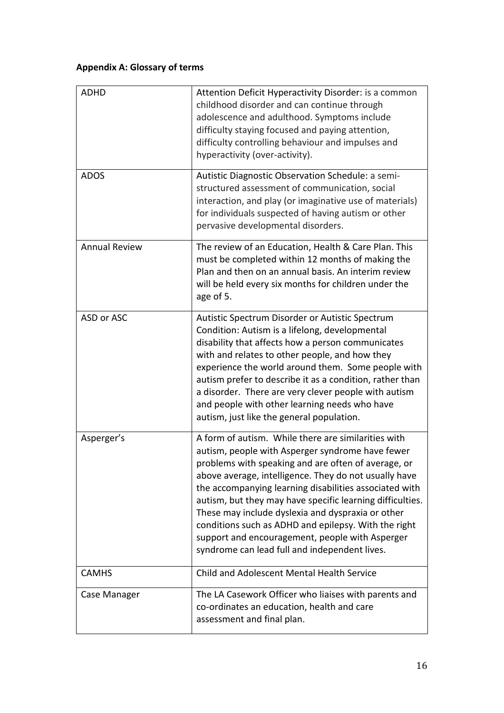# **Appendix A: Glossary of terms**

| <b>ADHD</b>          | Attention Deficit Hyperactivity Disorder: is a common<br>childhood disorder and can continue through<br>adolescence and adulthood. Symptoms include<br>difficulty staying focused and paying attention,<br>difficulty controlling behaviour and impulses and<br>hyperactivity (over-activity).                                                                                                                                                                                                                                                                  |
|----------------------|-----------------------------------------------------------------------------------------------------------------------------------------------------------------------------------------------------------------------------------------------------------------------------------------------------------------------------------------------------------------------------------------------------------------------------------------------------------------------------------------------------------------------------------------------------------------|
| <b>ADOS</b>          | Autistic Diagnostic Observation Schedule: a semi-<br>structured assessment of communication, social<br>interaction, and play (or imaginative use of materials)<br>for individuals suspected of having autism or other<br>pervasive developmental disorders.                                                                                                                                                                                                                                                                                                     |
| <b>Annual Review</b> | The review of an Education, Health & Care Plan. This<br>must be completed within 12 months of making the<br>Plan and then on an annual basis. An interim review<br>will be held every six months for children under the<br>age of 5.                                                                                                                                                                                                                                                                                                                            |
| ASD or ASC           | Autistic Spectrum Disorder or Autistic Spectrum<br>Condition: Autism is a lifelong, developmental<br>disability that affects how a person communicates<br>with and relates to other people, and how they<br>experience the world around them. Some people with<br>autism prefer to describe it as a condition, rather than<br>a disorder. There are very clever people with autism<br>and people with other learning needs who have<br>autism, just like the general population.                                                                                |
| Asperger's           | A form of autism. While there are similarities with<br>autism, people with Asperger syndrome have fewer<br>problems with speaking and are often of average, or<br>above average, intelligence. They do not usually have<br>the accompanying learning disabilities associated with<br>autism, but they may have specific learning difficulties.<br>These may include dyslexia and dyspraxia or other<br>conditions such as ADHD and epilepsy. With the right<br>support and encouragement, people with Asperger<br>syndrome can lead full and independent lives. |
| <b>CAMHS</b>         | Child and Adolescent Mental Health Service                                                                                                                                                                                                                                                                                                                                                                                                                                                                                                                      |
| Case Manager         | The LA Casework Officer who liaises with parents and<br>co-ordinates an education, health and care<br>assessment and final plan.                                                                                                                                                                                                                                                                                                                                                                                                                                |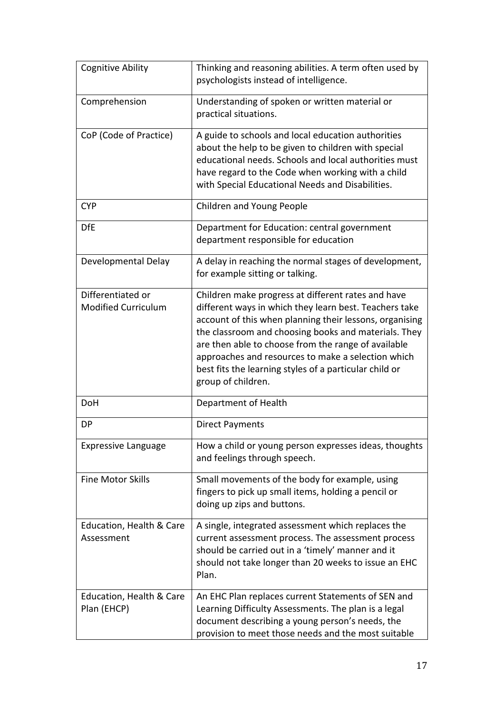| <b>Cognitive Ability</b>                        | Thinking and reasoning abilities. A term often used by<br>psychologists instead of intelligence.                                                                                                                                                                                                                                                                                                                             |  |  |
|-------------------------------------------------|------------------------------------------------------------------------------------------------------------------------------------------------------------------------------------------------------------------------------------------------------------------------------------------------------------------------------------------------------------------------------------------------------------------------------|--|--|
| Comprehension                                   | Understanding of spoken or written material or<br>practical situations.                                                                                                                                                                                                                                                                                                                                                      |  |  |
| CoP (Code of Practice)                          | A guide to schools and local education authorities<br>about the help to be given to children with special<br>educational needs. Schools and local authorities must<br>have regard to the Code when working with a child<br>with Special Educational Needs and Disabilities.                                                                                                                                                  |  |  |
| <b>CYP</b>                                      | Children and Young People                                                                                                                                                                                                                                                                                                                                                                                                    |  |  |
| <b>DfE</b>                                      | Department for Education: central government<br>department responsible for education                                                                                                                                                                                                                                                                                                                                         |  |  |
| Developmental Delay                             | A delay in reaching the normal stages of development,<br>for example sitting or talking.                                                                                                                                                                                                                                                                                                                                     |  |  |
| Differentiated or<br><b>Modified Curriculum</b> | Children make progress at different rates and have<br>different ways in which they learn best. Teachers take<br>account of this when planning their lessons, organising<br>the classroom and choosing books and materials. They<br>are then able to choose from the range of available<br>approaches and resources to make a selection which<br>best fits the learning styles of a particular child or<br>group of children. |  |  |
| <b>DoH</b>                                      | Department of Health                                                                                                                                                                                                                                                                                                                                                                                                         |  |  |
| DP                                              | <b>Direct Payments</b>                                                                                                                                                                                                                                                                                                                                                                                                       |  |  |
| <b>Expressive Language</b>                      | How a child or young person expresses ideas, thoughts<br>and feelings through speech.                                                                                                                                                                                                                                                                                                                                        |  |  |
| <b>Fine Motor Skills</b>                        | Small movements of the body for example, using<br>fingers to pick up small items, holding a pencil or<br>doing up zips and buttons.                                                                                                                                                                                                                                                                                          |  |  |
| Education, Health & Care<br>Assessment          | A single, integrated assessment which replaces the<br>current assessment process. The assessment process<br>should be carried out in a 'timely' manner and it<br>should not take longer than 20 weeks to issue an EHC<br>Plan.                                                                                                                                                                                               |  |  |
| Education, Health & Care<br>Plan (EHCP)         | An EHC Plan replaces current Statements of SEN and<br>Learning Difficulty Assessments. The plan is a legal<br>document describing a young person's needs, the<br>provision to meet those needs and the most suitable                                                                                                                                                                                                         |  |  |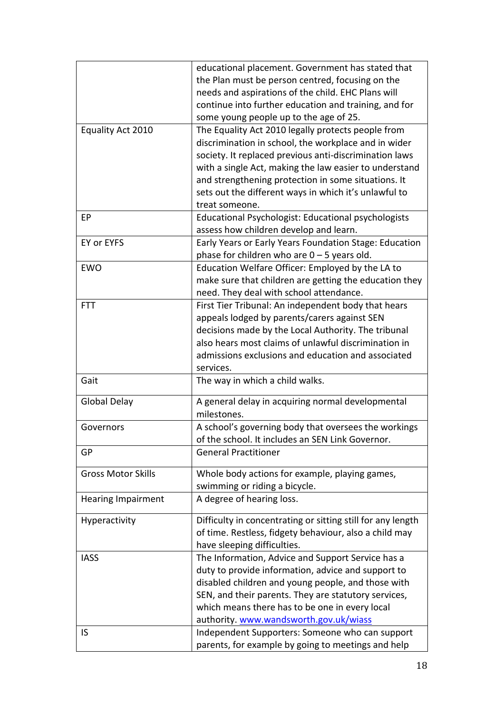|                           | educational placement. Government has stated that           |
|---------------------------|-------------------------------------------------------------|
|                           | the Plan must be person centred, focusing on the            |
|                           | needs and aspirations of the child. EHC Plans will          |
|                           | continue into further education and training, and for       |
|                           | some young people up to the age of 25.                      |
| Equality Act 2010         | The Equality Act 2010 legally protects people from          |
|                           | discrimination in school, the workplace and in wider        |
|                           | society. It replaced previous anti-discrimination laws      |
|                           |                                                             |
|                           | with a single Act, making the law easier to understand      |
|                           | and strengthening protection in some situations. It         |
|                           | sets out the different ways in which it's unlawful to       |
|                           | treat someone.                                              |
| EP                        | Educational Psychologist: Educational psychologists         |
|                           | assess how children develop and learn.                      |
| EY or EYFS                | Early Years or Early Years Foundation Stage: Education      |
|                           | phase for children who are $0 - 5$ years old.               |
| <b>EWO</b>                | Education Welfare Officer: Employed by the LA to            |
|                           | make sure that children are getting the education they      |
|                           | need. They deal with school attendance.                     |
| <b>FTT</b>                | First Tier Tribunal: An independent body that hears         |
|                           |                                                             |
|                           | appeals lodged by parents/carers against SEN                |
|                           | decisions made by the Local Authority. The tribunal         |
|                           | also hears most claims of unlawful discrimination in        |
|                           | admissions exclusions and education and associated          |
|                           | services.                                                   |
| Gait                      | The way in which a child walks.                             |
| Global Delay              | A general delay in acquiring normal developmental           |
|                           | milestones.                                                 |
| Governors                 | A school's governing body that oversees the workings        |
|                           | of the school. It includes an SEN Link Governor.            |
| GP                        | <b>General Practitioner</b>                                 |
|                           |                                                             |
| <b>Gross Motor Skills</b> | Whole body actions for example, playing games,              |
|                           | swimming or riding a bicycle.                               |
| <b>Hearing Impairment</b> | A degree of hearing loss.                                   |
|                           |                                                             |
| Hyperactivity             | Difficulty in concentrating or sitting still for any length |
|                           | of time. Restless, fidgety behaviour, also a child may      |
|                           | have sleeping difficulties.                                 |
| <b>IASS</b>               | The Information, Advice and Support Service has a           |
|                           | duty to provide information, advice and support to          |
|                           |                                                             |
|                           | disabled children and young people, and those with          |
|                           | SEN, and their parents. They are statutory services,        |
|                           | which means there has to be one in every local              |
|                           | authority. www.wandsworth.gov.uk/wiass                      |
| IS                        | Independent Supporters: Someone who can support             |
|                           | parents, for example by going to meetings and help          |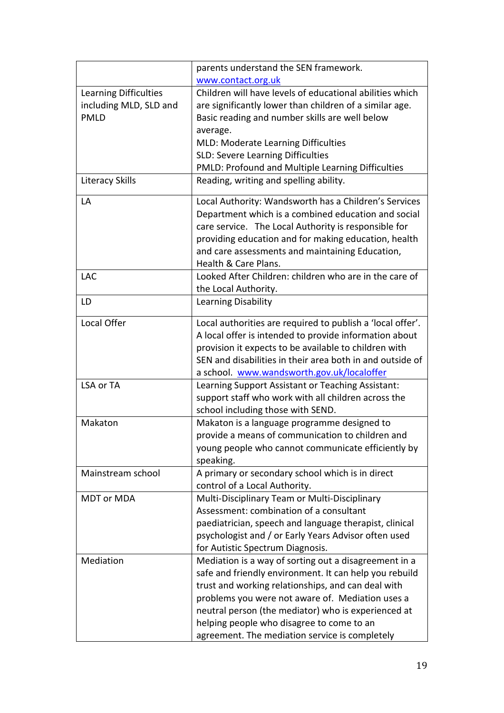|                        | parents understand the SEN framework.                      |  |  |
|------------------------|------------------------------------------------------------|--|--|
|                        | www.contact.org.uk                                         |  |  |
| Learning Difficulties  | Children will have levels of educational abilities which   |  |  |
| including MLD, SLD and | are significantly lower than children of a similar age.    |  |  |
| <b>PMLD</b>            | Basic reading and number skills are well below             |  |  |
|                        | average.                                                   |  |  |
|                        | MLD: Moderate Learning Difficulties                        |  |  |
|                        | SLD: Severe Learning Difficulties                          |  |  |
|                        | PMLD: Profound and Multiple Learning Difficulties          |  |  |
| <b>Literacy Skills</b> | Reading, writing and spelling ability.                     |  |  |
| LA                     | Local Authority: Wandsworth has a Children's Services      |  |  |
|                        | Department which is a combined education and social        |  |  |
|                        | care service. The Local Authority is responsible for       |  |  |
|                        | providing education and for making education, health       |  |  |
|                        | and care assessments and maintaining Education,            |  |  |
|                        | Health & Care Plans.                                       |  |  |
| <b>LAC</b>             | Looked After Children: children who are in the care of     |  |  |
|                        | the Local Authority.                                       |  |  |
| LD                     | Learning Disability                                        |  |  |
| Local Offer            | Local authorities are required to publish a 'local offer'. |  |  |
|                        | A local offer is intended to provide information about     |  |  |
|                        | provision it expects to be available to children with      |  |  |
|                        | SEN and disabilities in their area both in and outside of  |  |  |
|                        | a school. www.wandsworth.gov.uk/localoffer                 |  |  |
| LSA or TA              | Learning Support Assistant or Teaching Assistant:          |  |  |
|                        | support staff who work with all children across the        |  |  |
|                        | school including those with SEND.                          |  |  |
| Makaton                | Makaton is a language programme designed to                |  |  |
|                        | provide a means of communication to children and           |  |  |
|                        | young people who cannot communicate efficiently by         |  |  |
|                        | speaking.                                                  |  |  |
| Mainstream school      | A primary or secondary school which is in direct           |  |  |
|                        | control of a Local Authority.                              |  |  |
| MDT or MDA             | Multi-Disciplinary Team or Multi-Disciplinary              |  |  |
|                        | Assessment: combination of a consultant                    |  |  |
|                        | paediatrician, speech and language therapist, clinical     |  |  |
|                        | psychologist and / or Early Years Advisor often used       |  |  |
|                        | for Autistic Spectrum Diagnosis.                           |  |  |
| Mediation              | Mediation is a way of sorting out a disagreement in a      |  |  |
|                        | safe and friendly environment. It can help you rebuild     |  |  |
|                        | trust and working relationships, and can deal with         |  |  |
|                        | problems you were not aware of. Mediation uses a           |  |  |
|                        | neutral person (the mediator) who is experienced at        |  |  |
|                        | helping people who disagree to come to an                  |  |  |
|                        | agreement. The mediation service is completely             |  |  |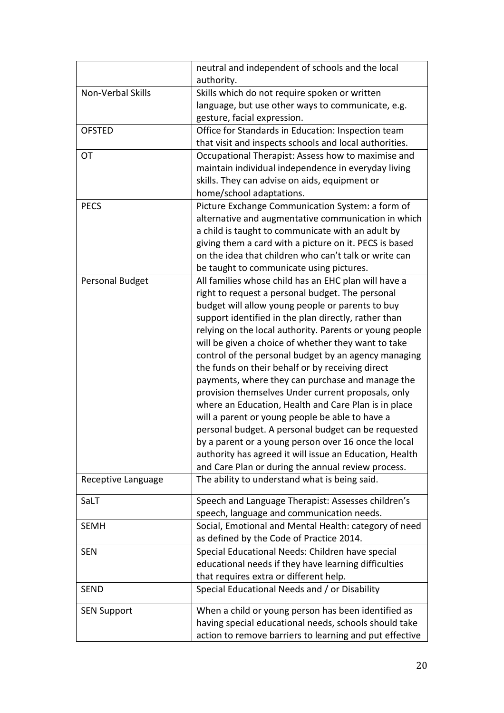|                    | neutral and independent of schools and the local        |
|--------------------|---------------------------------------------------------|
|                    | authority.                                              |
| Non-Verbal Skills  | Skills which do not require spoken or written           |
|                    | language, but use other ways to communicate, e.g.       |
|                    | gesture, facial expression.                             |
| <b>OFSTED</b>      | Office for Standards in Education: Inspection team      |
|                    | that visit and inspects schools and local authorities.  |
| OT                 | Occupational Therapist: Assess how to maximise and      |
|                    | maintain individual independence in everyday living     |
|                    | skills. They can advise on aids, equipment or           |
|                    | home/school adaptations.                                |
| <b>PECS</b>        | Picture Exchange Communication System: a form of        |
|                    | alternative and augmentative communication in which     |
|                    | a child is taught to communicate with an adult by       |
|                    | giving them a card with a picture on it. PECS is based  |
|                    | on the idea that children who can't talk or write can   |
|                    | be taught to communicate using pictures.                |
| Personal Budget    | All families whose child has an EHC plan will have a    |
|                    | right to request a personal budget. The personal        |
|                    | budget will allow young people or parents to buy        |
|                    | support identified in the plan directly, rather than    |
|                    | relying on the local authority. Parents or young people |
|                    | will be given a choice of whether they want to take     |
|                    | control of the personal budget by an agency managing    |
|                    | the funds on their behalf or by receiving direct        |
|                    | payments, where they can purchase and manage the        |
|                    | provision themselves Under current proposals, only      |
|                    | where an Education, Health and Care Plan is in place    |
|                    | will a parent or young people be able to have a         |
|                    | personal budget. A personal budget can be requested     |
|                    | by a parent or a young person over 16 once the local    |
|                    | authority has agreed it will issue an Education, Health |
|                    | and Care Plan or during the annual review process.      |
| Receptive Language | The ability to understand what is being said.           |
| SaLT               | Speech and Language Therapist: Assesses children's      |
|                    | speech, language and communication needs.               |
| <b>SEMH</b>        | Social, Emotional and Mental Health: category of need   |
|                    | as defined by the Code of Practice 2014.                |
| <b>SEN</b>         | Special Educational Needs: Children have special        |
|                    | educational needs if they have learning difficulties    |
|                    | that requires extra or different help.                  |
| <b>SEND</b>        | Special Educational Needs and / or Disability           |
|                    |                                                         |
| <b>SEN Support</b> | When a child or young person has been identified as     |
|                    | having special educational needs, schools should take   |
|                    | action to remove barriers to learning and put effective |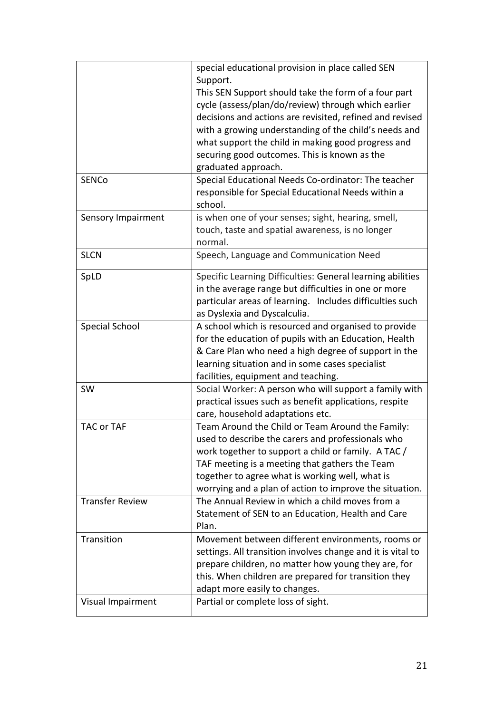|                        | special educational provision in place called SEN           |
|------------------------|-------------------------------------------------------------|
|                        | Support.                                                    |
|                        | This SEN Support should take the form of a four part        |
|                        | cycle (assess/plan/do/review) through which earlier         |
|                        | decisions and actions are revisited, refined and revised    |
|                        | with a growing understanding of the child's needs and       |
|                        | what support the child in making good progress and          |
|                        | securing good outcomes. This is known as the                |
|                        | graduated approach.                                         |
| <b>SENCo</b>           | Special Educational Needs Co-ordinator: The teacher         |
|                        | responsible for Special Educational Needs within a          |
|                        | school.                                                     |
| Sensory Impairment     | is when one of your senses; sight, hearing, smell,          |
|                        | touch, taste and spatial awareness, is no longer            |
|                        | normal.                                                     |
| <b>SLCN</b>            | Speech, Language and Communication Need                     |
| SpLD                   | Specific Learning Difficulties: General learning abilities  |
|                        | in the average range but difficulties in one or more        |
|                        | particular areas of learning. Includes difficulties such    |
|                        | as Dyslexia and Dyscalculia.                                |
| <b>Special School</b>  | A school which is resourced and organised to provide        |
|                        | for the education of pupils with an Education, Health       |
|                        | & Care Plan who need a high degree of support in the        |
|                        | learning situation and in some cases specialist             |
|                        | facilities, equipment and teaching.                         |
| SW                     | Social Worker: A person who will support a family with      |
|                        | practical issues such as benefit applications, respite      |
|                        | care, household adaptations etc.                            |
| TAC or TAF             | Team Around the Child or Team Around the Family:            |
|                        | used to describe the carers and professionals who           |
|                        | work together to support a child or family. A TAC /         |
|                        | TAF meeting is a meeting that gathers the Team              |
|                        | together to agree what is working well, what is             |
|                        | worrying and a plan of action to improve the situation.     |
| <b>Transfer Review</b> | The Annual Review in which a child moves from a             |
|                        | Statement of SEN to an Education, Health and Care           |
|                        | Plan.                                                       |
| Transition             | Movement between different environments, rooms or           |
|                        | settings. All transition involves change and it is vital to |
|                        | prepare children, no matter how young they are, for         |
|                        | this. When children are prepared for transition they        |
|                        | adapt more easily to changes.                               |
| Visual Impairment      | Partial or complete loss of sight.                          |
|                        |                                                             |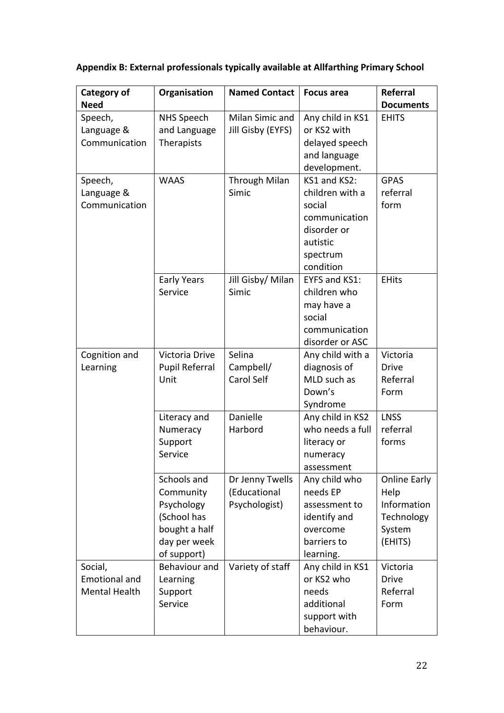# **Appendix B: External professionals typically available at Allfarthing Primary School**

| Category of                                      | Organisation                                                                                          | <b>Named Contact</b>                             | <b>Focus area</b>                                                                                                              | <b>Referral</b>                                                        |
|--------------------------------------------------|-------------------------------------------------------------------------------------------------------|--------------------------------------------------|--------------------------------------------------------------------------------------------------------------------------------|------------------------------------------------------------------------|
| <b>Need</b>                                      |                                                                                                       |                                                  |                                                                                                                                | <b>Documents</b>                                                       |
| Speech,<br>Language &<br>Communication           | <b>NHS Speech</b><br>and Language<br>Therapists                                                       | Milan Simic and<br>Jill Gisby (EYFS)             | Any child in KS1<br>or KS2 with<br>delayed speech<br>and language                                                              | <b>EHITS</b>                                                           |
| Speech,<br>Language &<br>Communication           | <b>WAAS</b>                                                                                           | <b>Through Milan</b><br>Simic                    | development.<br>KS1 and KS2:<br>children with a<br>social<br>communication<br>disorder or<br>autistic<br>spectrum<br>condition | <b>GPAS</b><br>referral<br>form                                        |
|                                                  | <b>Early Years</b><br>Service                                                                         | Jill Gisby/ Milan<br>Simic                       | EYFS and KS1:<br>children who<br>may have a<br>social<br>communication<br>disorder or ASC                                      | <b>EHits</b>                                                           |
| Cognition and<br>Learning                        | Victoria Drive<br><b>Pupil Referral</b><br>Unit                                                       | Selina<br>Campbell/<br><b>Carol Self</b>         | Any child with a<br>diagnosis of<br>MLD such as<br>Down's<br>Syndrome                                                          | Victoria<br><b>Drive</b><br>Referral<br>Form                           |
|                                                  | Literacy and<br>Numeracy<br>Support<br>Service                                                        | Danielle<br>Harbord                              | Any child in KS2<br>who needs a full<br>literacy or<br>numeracy<br>assessment                                                  | <b>LNSS</b><br>referral<br>forms                                       |
|                                                  | Schools and<br>Community<br>Psychology<br>(School has<br>bought a half<br>day per week<br>of support) | Dr Jenny Twells<br>(Educational<br>Psychologist) | Any child who<br>needs EP<br>assessment to<br>identify and<br>overcome<br>barriers to<br>learning.                             | Online Early<br>Help<br>Information<br>Technology<br>System<br>(EHITS) |
| Social,<br><b>Emotional and</b><br>Mental Health | Behaviour and<br>Learning<br>Support<br>Service                                                       | Variety of staff                                 | Any child in KS1<br>or KS2 who<br>needs<br>additional<br>support with<br>behaviour.                                            | Victoria<br><b>Drive</b><br>Referral<br>Form                           |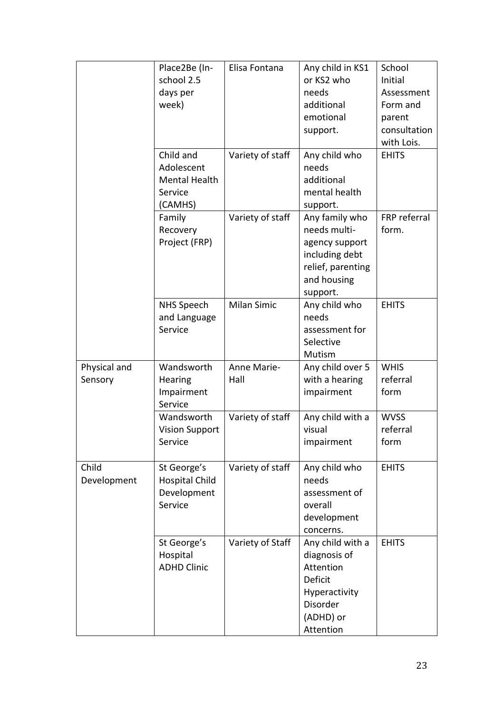|                         | Place2Be (In-<br>school 2.5<br>days per<br>week)               | Elisa Fontana       | Any child in KS1<br>or KS2 who<br>needs<br>additional<br>emotional<br>support.                                     | School<br>Initial<br>Assessment<br>Form and<br>parent<br>consultation<br>with Lois. |
|-------------------------|----------------------------------------------------------------|---------------------|--------------------------------------------------------------------------------------------------------------------|-------------------------------------------------------------------------------------|
|                         | Child and<br>Adolescent<br>Mental Health<br>Service<br>(CAMHS) | Variety of staff    | Any child who<br>needs<br>additional<br>mental health<br>support.                                                  | <b>EHITS</b>                                                                        |
|                         | Family<br>Recovery<br>Project (FRP)                            | Variety of staff    | Any family who<br>needs multi-<br>agency support<br>including debt<br>relief, parenting<br>and housing<br>support. | FRP referral<br>form.                                                               |
|                         | <b>NHS Speech</b><br>and Language<br>Service                   | <b>Milan Simic</b>  | Any child who<br>needs<br>assessment for<br>Selective<br>Mutism                                                    | <b>EHITS</b>                                                                        |
| Physical and<br>Sensory | Wandsworth<br>Hearing<br>Impairment<br>Service                 | Anne Marie-<br>Hall | Any child over 5<br>with a hearing<br>impairment                                                                   | <b>WHIS</b><br>referral<br>form                                                     |
|                         | Wandsworth<br><b>Vision Support</b><br>Service                 | Variety of staff    | Any child with a<br>visual<br>impairment                                                                           | <b>WVSS</b><br>referral<br>torm                                                     |
| Child<br>Development    | St George's<br><b>Hospital Child</b><br>Development<br>Service | Variety of staff    | Any child who<br>needs<br>assessment of<br>overall<br>development<br>concerns.                                     | <b>EHITS</b>                                                                        |
|                         | St George's<br>Hospital<br><b>ADHD Clinic</b>                  | Variety of Staff    | Any child with a<br>diagnosis of<br>Attention<br>Deficit<br>Hyperactivity<br>Disorder<br>(ADHD) or<br>Attention    | <b>EHITS</b>                                                                        |